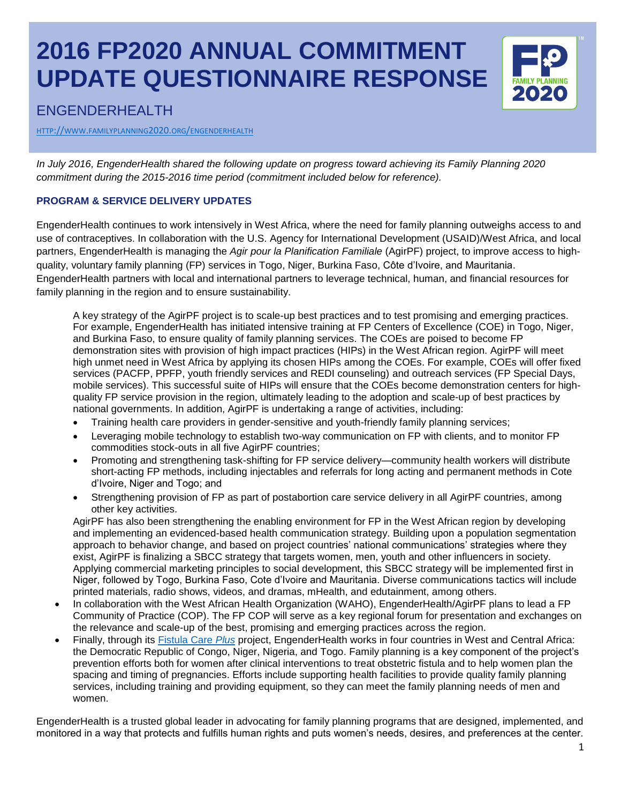## **2016 FP2020 ANNUAL COMMITMENT UPDATE QUESTIONNAIRE RESPONSE**



### ENGENDERHEALTH

HTTP://WWW.FAMILYPLANNING2020.ORG/[ENGENDERHEALTH](http://www.familyplanning2020.org/engenderhealth)

*In July 2016, EngenderHealth shared the following update on progress toward achieving its Family Planning 2020 commitment during the 2015-2016 time period (commitment included below for reference).*

#### **PROGRAM & SERVICE DELIVERY UPDATES**

EngenderHealth continues to work intensively in West Africa, where the need for family planning outweighs access to and use of contraceptives. In collaboration with the U.S. Agency for International Development (USAID)/West Africa, and local partners, EngenderHealth is managing the *Agir pour la Planification Familiale* (AgirPF) project, to improve access to highquality, voluntary family planning (FP) services in Togo, Niger, Burkina Faso, Côte d'Ivoire, and Mauritania. EngenderHealth partners with local and international partners to leverage technical, human, and financial resources for family planning in the region and to ensure sustainability.

A key strategy of the AgirPF project is to scale-up best practices and to test promising and emerging practices. For example, EngenderHealth has initiated intensive training at FP Centers of Excellence (COE) in Togo, Niger, and Burkina Faso, to ensure quality of family planning services. The COEs are poised to become FP demonstration sites with provision of high impact practices (HIPs) in the West African region. AgirPF will meet high unmet need in West Africa by applying its chosen HIPs among the COEs. For example, COEs will offer fixed services (PACFP, PPFP, youth friendly services and REDI counseling) and outreach services (FP Special Days, mobile services). This successful suite of HIPs will ensure that the COEs become demonstration centers for highquality FP service provision in the region, ultimately leading to the adoption and scale-up of best practices by national governments. In addition, AgirPF is undertaking a range of activities, including:

- Training health care providers in gender-sensitive and youth-friendly family planning services;
- Leveraging mobile technology to establish two-way communication on FP with clients, and to monitor FP commodities stock-outs in all five AgirPF countries;
- Promoting and strengthening task-shifting for FP service delivery—community health workers will distribute short-acting FP methods, including injectables and referrals for long acting and permanent methods in Cote d'Ivoire, Niger and Togo; and
- Strengthening provision of FP as part of postabortion care service delivery in all AgirPF countries, among other key activities.

AgirPF has also been strengthening the enabling environment for FP in the West African region by developing and implementing an evidenced-based health communication strategy. Building upon a population segmentation approach to behavior change, and based on project countries' national communications' strategies where they exist, AgirPF is finalizing a SBCC strategy that targets women, men, youth and other influencers in society. Applying commercial marketing principles to social development, this SBCC strategy will be implemented first in Niger, followed by Togo, Burkina Faso, Cote d'Ivoire and Mauritania. Diverse communications tactics will include printed materials, radio shows, videos, and dramas, mHealth, and edutainment, among others.

- In collaboration with the West African Health Organization (WAHO), EngenderHealth/AgirPF plans to lead a FP Community of Practice (COP). The FP COP will serve as a key regional forum for presentation and exchanges on the relevance and scale-up of the best, promising and emerging practices across the region.
- Finally, through its [Fistula Care](http://www.fistulacare.org/) *Plus* project, EngenderHealth works in four countries in West and Central Africa: the Democratic Republic of Congo, Niger, Nigeria, and Togo. Family planning is a key component of the project's prevention efforts both for women after clinical interventions to treat obstetric fistula and to help women plan the spacing and timing of pregnancies. Efforts include supporting health facilities to provide quality family planning services, including training and providing equipment, so they can meet the family planning needs of men and women.

EngenderHealth is a trusted global leader in advocating for family planning programs that are designed, implemented, and monitored in a way that protects and fulfills human rights and puts women's needs, desires, and preferences at the center.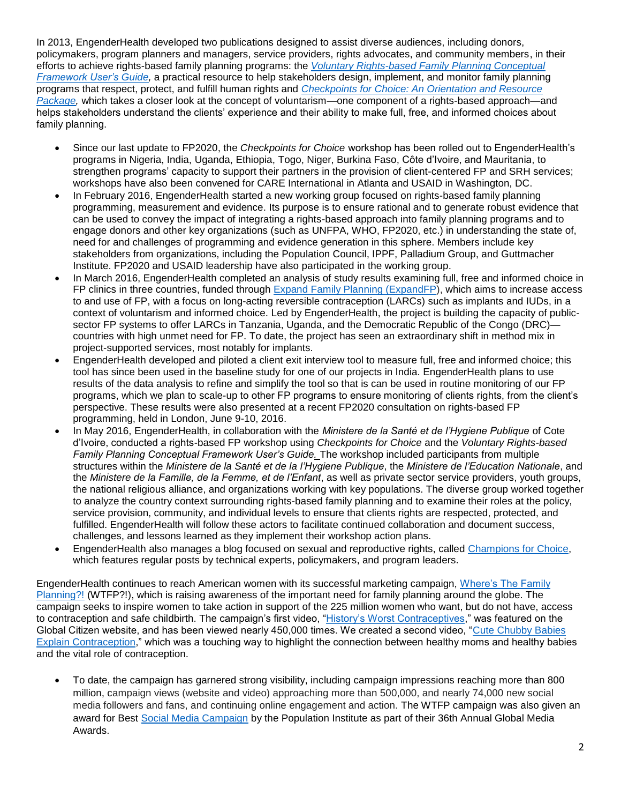In 2013, EngenderHealth developed two publications designed to assist diverse audiences, including donors, policymakers, program planners and managers, service providers, rights advocates, and community members, in their efforts to achieve rights-based family planning programs: the *[Voluntary Rights-based Family Planning Conceptual](http://www.engenderhealth.org/pubs/family-planning/human-rights-based-family-planning.php)  [Framework User's](http://www.engenderhealth.org/pubs/family-planning/human-rights-based-family-planning.php) Guide,* a practical resource to help stakeholders design, implement, and monitor family planning programs that respect, protect, and fulfill human rights and *[Checkpoints for Choice: An Orientation and Resource](http://www.engenderhealth.org/pubs/family-planning/human-rights-based-family-planning.php)  [Package,](http://www.engenderhealth.org/pubs/family-planning/human-rights-based-family-planning.php)* which takes a closer look at the concept of voluntarism—one component of a rights-based approach—and helps stakeholders understand the clients' experience and their ability to make full, free, and informed choices about family planning.

- Since our last update to FP2020, the *Checkpoints for Choice* workshop has been rolled out to EngenderHealth's programs in Nigeria, India, Uganda, Ethiopia, Togo, Niger, Burkina Faso, Côte d'Ivoire, and Mauritania, to strengthen programs' capacity to support their partners in the provision of client-centered FP and SRH services; workshops have also been convened for CARE International in Atlanta and USAID in Washington, DC.
- In February 2016, EngenderHealth started a new working group focused on rights-based family planning programming, measurement and evidence. Its purpose is to ensure rational and to generate robust evidence that can be used to convey the impact of integrating a rights-based approach into family planning programs and to engage donors and other key organizations (such as UNFPA, WHO, FP2020, etc.) in understanding the state of, need for and challenges of programming and evidence generation in this sphere. Members include key stakeholders from organizations, including the Population Council, IPPF, Palladium Group, and Guttmacher Institute. FP2020 and USAID leadership have also participated in the working group.
- In March 2016, EngenderHealth completed an analysis of study results examining full, free and informed choice in FP clinics in three countries, funded through [Expand Family Planning \(ExpandFP\)](https://www.engenderhealth.org/our-work/major-projects/gates-expand-fp.php), which aims to increase access to and use of FP, with a focus on long-acting reversible contraception (LARCs) such as implants and IUDs, in a context of voluntarism and informed choice. Led by EngenderHealth, the project is building the capacity of publicsector FP systems to offer LARCs in Tanzania, Uganda, and the Democratic Republic of the Congo (DRC)countries with high unmet need for FP. To date, the project has seen an extraordinary shift in method mix in project-supported services, most notably for implants.
- EngenderHealth developed and piloted a client exit interview tool to measure full, free and informed choice; this tool has since been used in the baseline study for one of our projects in India. EngenderHealth plans to use results of the data analysis to refine and simplify the tool so that is can be used in routine monitoring of our FP programs, which we plan to scale-up to other FP programs to ensure monitoring of clients rights, from the client's perspective. These results were also presented at a recent FP2020 consultation on rights-based FP programming, held in London, June 9-10, 2016.
- In May 2016, EngenderHealth, in collaboration with the *Ministere de la Santé et de l'Hygiene Publique* of Cote d'Ivoire, conducted a rights-based FP workshop using *Checkpoints for Choice* and the *Voluntary Rights-based Family Planning Conceptual Framework User's Guide.* The workshop included participants from multiple structures within the *Ministere de la Santé et de la l'Hygiene Publique*, the *Ministere de l'Education Nationale*, and the *Ministere de la Famille, de la Femme, et de l'Enfant*, as well as private sector service providers, youth groups, the national religious alliance, and organizations working with key populations. The diverse group worked together to analyze the country context surrounding rights-based family planning and to examine their roles at the policy, service provision, community, and individual levels to ensure that clients rights are respected, protected, and fulfilled. EngenderHealth will follow these actors to facilitate continued collaboration and document success, challenges, and lessons learned as they implement their workshop action plans.
- EngenderHealth also manages a blog focused on sexual and reproductive rights, called [Champions for Choice,](http://www.champs4choice.org/) which features regular posts by technical experts, policymakers, and program leaders.

EngenderHealth continues to reach American women with its successful marketing campaign, [Where's The Family](http://wheresthefp.org/)  [Planning?!](http://wheresthefp.org/) (WTFP?!), which is raising awareness of the important need for family planning around the globe. The campaign seeks to inspire women to take action in support of the 225 million women who want, but do not have, access to contraception and safe childbirth. The campaign's first video, ["History's Worst Contraceptives,](http://www.engenderhealth.org/wtfp/videos-hwc.php)" was featured on the Global Citizen website, and has been viewed nearly 450,000 times. We created a second video, ["Cute Chubby Babies](http://www.engenderhealth.org/wtfp/videos-babies.php)  [Explain Contraception,](http://www.engenderhealth.org/wtfp/videos-babies.php)" which was a touching way to highlight the connection between healthy moms and healthy babies and the vital role of contraception.

 To date, the campaign has garnered strong visibility, including campaign impressions reaching more than 800 million, campaign views (website and video) approaching more than 500,000, and nearly 74,000 new social media followers and fans, and continuing online engagement and action. The WTFP campaign was also given an award for Best [Social Media Campaign](http://org.salsalabs.com/dia/track.jsp?v=2&c=L%2B%2Fb0C5aGIMHE0WDd5zgQcZpSrxKqsXV) by the Population Institute as part of their 36th Annual Global Media Awards.